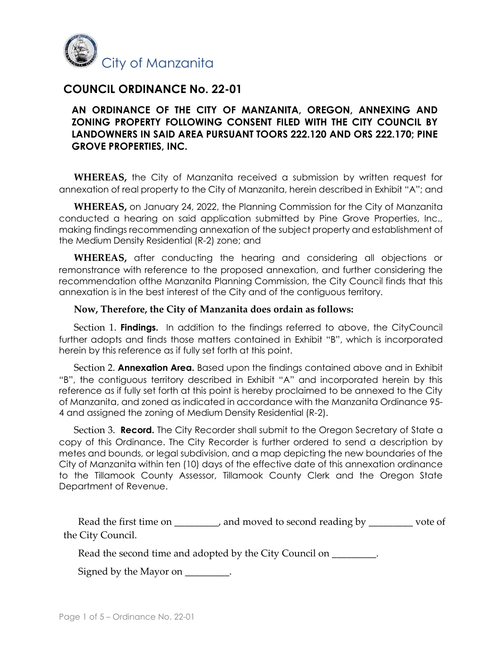

# **COUNCIL ORDINANCE No. 22-01**

## **AN ORDINANCE OF THE CITY OF MANZANITA, OREGON, ANNEXING AND ZONING PROPERTY FOLLOWING CONSENT FILED WITH THE CITY COUNCIL BY LANDOWNERS IN SAID AREA PURSUANT TOORS 222.120 AND ORS 222.170; PINE GROVE PROPERTIES, INC.**

**WHEREAS,** the City of Manzanita received a submission by written request for annexation of real property to the City of Manzanita, herein described in Exhibit "A"; and

**WHEREAS,** on January 24, 2022, the Planning Commission for the City of Manzanita conducted a hearing on said application submitted by Pine Grove Properties, Inc., making findings recommending annexation of the subject property and establishment of the Medium Density Residential (R-2) zone; and

**WHEREAS,** after conducting the hearing and considering all objections or remonstrance with reference to the proposed annexation, and further considering the recommendation ofthe Manzanita Planning Commission, the City Council finds that this annexation is in the best interest of the City and of the contiguous territory.

### **Now, Therefore, the City of Manzanita does ordain as follows:**

Section 1. **Findings.** In addition to the findings referred to above, the CityCouncil further adopts and finds those matters contained in Exhibit "B", which is incorporated herein by this reference as if fully set forth at this point.

Section 2. **Annexation Area.** Based upon the findings contained above and in Exhibit "B", the contiguous territory described in Exhibit "A" and incorporated herein by this reference as if fully set forth at this point is hereby proclaimed to be annexed to the City of Manzanita, and zoned as indicated in accordance with the Manzanita Ordinance 95- 4 and assigned the zoning of Medium Density Residential (R-2).

Section 3. **Record.** The City Recorder shall submit to the Oregon Secretary of State a copy of this Ordinance. The City Recorder is further ordered to send a description by metes and bounds, or legal subdivision, and a map depicting the new boundaries of the City of Manzanita within ten (10) days of the effective date of this annexation ordinance to the Tillamook County Assessor, Tillamook County Clerk and the Oregon State Department of Revenue.

Read the first time on **\_\_\_\_\_\_\_\_\_**, and moved to second reading by **\_\_\_\_\_\_\_\_\_** vote of the City Council.

Read the second time and adopted by the City Council on **\_\_\_\_\_\_\_\_\_**.

Signed by the Mayor on **\_\_\_\_\_\_\_\_\_**.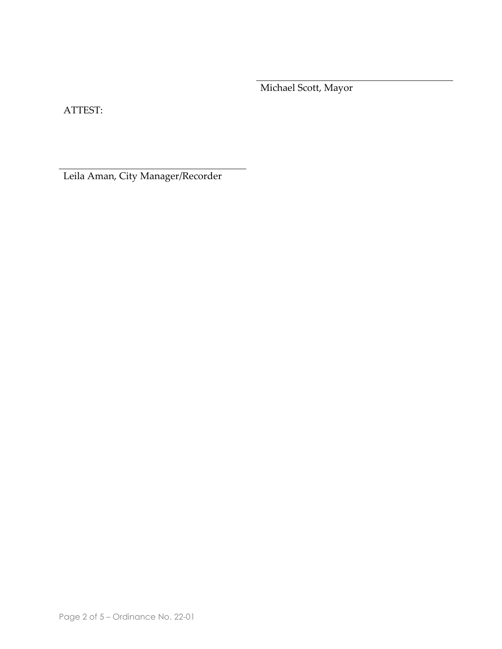Michael Scott, Mayor

ATTEST:

Leila Aman, City Manager/Recorder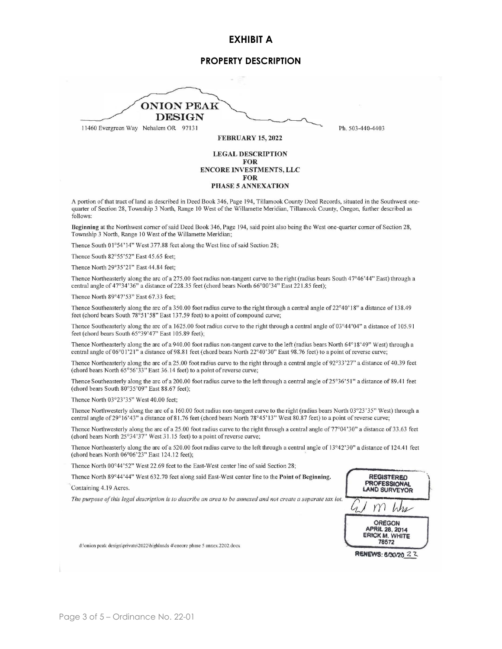#### **EXHIBIT A**

#### **PROPERTY DESCRIPTION**

**ONION PEAK DESIGN** 11460 Evergreen Way Nehalem OR 97131 Ph. 503-440-4403 **FEBRUARY 15, 2022** 

**LEGAL DESCRIPTION FOR ENCORE INVESTMENTS, LLC FOR** PHASE 5 ANNEXATION

A portion of that tract of land as described in Deed Book 346, Page 194, Tillamook County Deed Records, situated in the Southwest onequarter of Section 28, Township 3 North, Range 10 West of the Willamette Meridian, Tillamook County, Oregon, further described as follows:

Beginning at the Northwest comer of said Deed Book 346, Page 194, said point also being the West one-quarter comer of Section 28, Township 3 North, Range 10 West of the Willamette Meridian;

Thence South 01°54'14" West 377.88 feet along the West line of said Section 28;

Thence South 82°55'52" East 45.65 feet;

Thence North 29°35'21" East 44.84 feet:

Thence Northeasterly along the arc of a 275.00 foot radius non-tangent curve to the right (radius bears South 47°46'44" East) through a central angle of 47°34'36" a distance of 228.35 feet (chord bears North 66°00'34" East 221.85 feet);

Thence North 89°47'53" East 67.33 feet;

Thence Southeasterly along the arc of a 350.00 foot radius curve to the right through a central angle of 22°40'18" a distance of 138.49 feet (chord bears South 78°51'58" East 137.59 feet) to a point of compound curve;

Thence Southeasterly along the arc of a 1625.00 foot radius curve to the right through a central angle of 03°44'04" a distance of 105.91 feet (chord bears South 65°39'47" East 105.89 feet);

Thence Northeasterly along the arc of a 940.00 foot radius non-tangent curve to the left (radius bears North 64°18'49" West) through a central angle of 06°01'21" a distance of 98.81 feet (chord bears North 22°40'30" East 98.76 feet) to a point of reverse curve;

Thence Northeasterly along the arc of a 25.00 foot radius curve to the right through a central angle of 92°33'27" a distance of 40.39 feet (chord bears North 65°56'33" East 36.14 feet) to a point of reverse curve;

Thence Southeasterly along the arc of a 200.00 foot radius curve to the left through a central angle of  $25^{\circ}36'51"$  a distance of 89.41 feet (chord bears South 80°35'09" East 88.67 feet);

Thence North 03°23'35" West 40.00 feet;

Thence Northwesterly along the arc of a 160.00 foot radius non-tangent curve to the right (radius bears North 03°23'35" West) through a central angle of 29°16'43" a distance of 81.76 feet (chord bears North 78°45'13" West 80.87 feet) to a point of reverse curve;

Thence Northwesterly along the arc of a 25.00 foot radius curve to the right through a central angle of 77°04'30" a distance of 33.63 feet (chord bears North 25°34'37" West 31.15 feet) to a point of reverse curve;

Thence Northeasterly along the arc of a 520.00 foot radius curve to the left through a central angle of 13°42'30" a distance of 124.41 feet (chord bears North 06°06'23" East 124.12 feet);

Thence North 00°44'52" West 22.69 feet to the East-West center line of said Section 28;

Thence North 89°44'44" West 632.70 feet along said East-West center line to the Point of Beginning.

Containing 4.19 Acres.

The purpose of this legal description is to describe an area to be annexed and not create a separate tax lot.



RENEWS: 8/30/20 2 2

d:\onion peak design\private\2022\highlands 4\encore phase 5 annex.2202.docx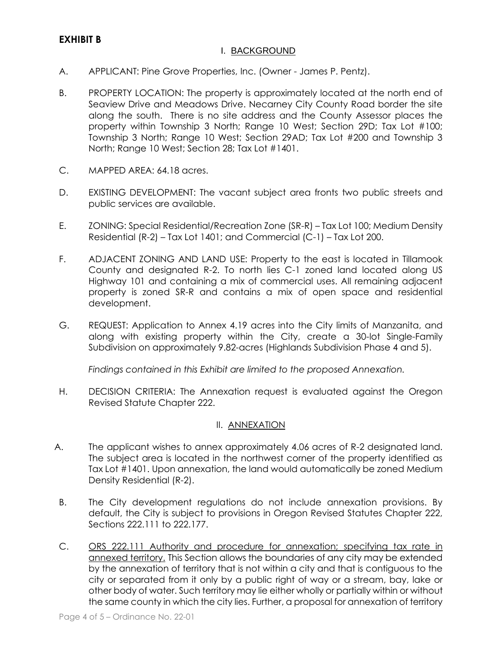### I. BACKGROUND

- A. APPLICANT: Pine Grove Properties, Inc. (Owner James P. Pentz).
- B. PROPERTY LOCATION: The property is approximately located at the north end of Seaview Drive and Meadows Drive. Necarney City County Road border the site along the south. There is no site address and the County Assessor places the property within Township 3 North; Range 10 West; Section 29D; Tax Lot #100; Township 3 North; Range 10 West; Section 29AD; Tax Lot #200 and Township 3 North; Range 10 West; Section 28; Tax Lot #1401.
- C. MAPPED AREA: 64.18 acres.
- D. EXISTING DEVELOPMENT: The vacant subject area fronts two public streets and public services are available.
- E. ZONING: Special Residential/Recreation Zone (SR-R) Tax Lot 100; Medium Density Residential (R-2) – Tax Lot 1401; and Commercial (C-1) – Tax Lot 200.
- F. ADJACENT ZONING AND LAND USE: Property to the east is located in Tillamook County and designated R-2. To north lies C-1 zoned land located along US Highway 101 and containing a mix of commercial uses. All remaining adjacent property is zoned SR-R and contains a mix of open space and residential development.
- G. REQUEST: Application to Annex 4.19 acres into the City limits of Manzanita, and along with existing property within the City, create a 30-lot Single-Family Subdivision on approximately 9.82-acres (Highlands Subdivision Phase 4 and 5).

*Findings contained in this Exhibit are limited to the proposed Annexation.*

H. DECISION CRITERIA: The Annexation request is evaluated against the Oregon Revised Statute Chapter 222.

### II. ANNEXATION

- A. The applicant wishes to annex approximately 4.06 acres of R-2 designated land. The subject area is located in the northwest corner of the property identified as Tax Lot #1401. Upon annexation, the land would automatically be zoned Medium Density Residential (R-2).
- B. The City development regulations do not include annexation provisions. By default, the City is subject to provisions in Oregon Revised Statutes Chapter 222, Sections 222.111 to 222.177.
- C. ORS 222.111 Authority and procedure for annexation; specifying tax rate in annexed territory. This Section allows the boundaries of any city may be extended by the annexation of territory that is not within a city and that is contiguous to the city or separated from it only by a public right of way or a stream, bay, lake or other body of water. Such territory may lie either wholly or partially within or without the same county in which the city lies. Further, a proposal for annexation of territory